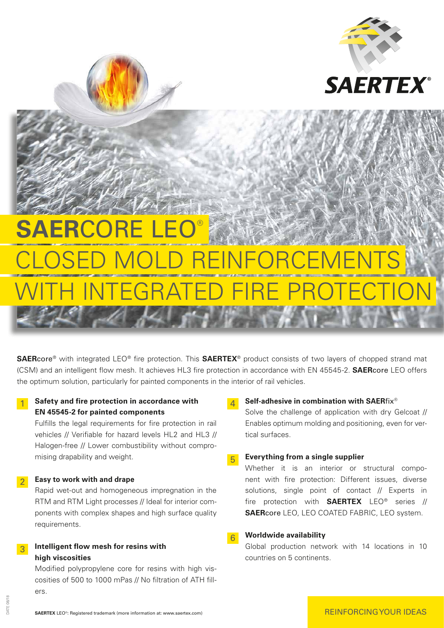

# **SAERCORE** LOSED MOLD REINFORCE **I INTEGRATED FIRE P**

**SAER**core® with integrated LEO® fire protection. This **SAERTEX**® product consists of two layers of chopped strand mat (CSM) and an intelligent flow mesh. It achieves HL3 fire protection in accordance with EN 45545-2. **SAER**core LEO offers the optimum solution, particularly for painted components in the interior of rail vehicles.

## **1** Safety and fire protection in accordance with **EN 45545-2 for painted components**

 Fulfills the legal requirements for fire protection in rail vehicles // Verifiable for hazard levels HL2 and HL3 // Halogen-free // Lower combustibility without compromising drapability and weight.

## 2 **Easy to work with and drape**

 Rapid wet-out and homogeneous impregnation in the RTM and RTM Light processes // Ideal for interior components with complex shapes and high surface quality requirements.

#### 3 **Intelligent flow mesh for resins with high viscosities**

 Modified polypropylene core for resins with high viscosities of 500 to 1000 mPas // No filtration of ATH fillers.

#### **4** Self-adhesive in combination with SAERfix<sup>®</sup>

 Solve the challenge of application with dry Gelcoat // Enables optimum molding and positioning, even for vertical surfaces.

#### 5 **Everything from a single supplier**

 Whether it is an interior or structural component with fire protection: Different issues, diverse solutions, single point of contact // Experts in fire protection with **SAERTEX** LEO® series // **SAER**core LEO, LEO COATED FABRIC, LEO system.

#### 6 **Worldwide availability**

 Global production network with 14 locations in 10 countries on 5 continents.